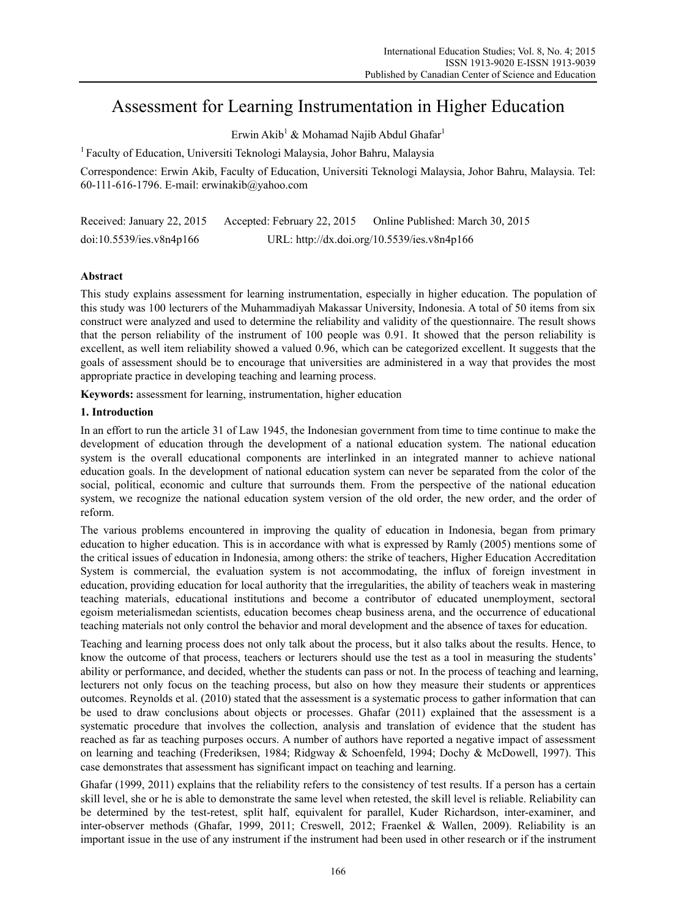# Assessment for Learning Instrumentation in Higher Education

Erwin Akib<sup>1</sup> & Mohamad Najib Abdul Ghafar<sup>1</sup>

<sup>1</sup> Faculty of Education, Universiti Teknologi Malaysia, Johor Bahru, Malaysia

Correspondence: Erwin Akib, Faculty of Education, Universiti Teknologi Malaysia, Johor Bahru, Malaysia. Tel: 60-111-616-1796. E-mail: erwinakib@yahoo.com

| Received: January 22, 2015 | Accepted: February 22, 2015 | Online Published: March 30, 2015            |
|----------------------------|-----------------------------|---------------------------------------------|
| doi:10.5539/ies.v8n4p166   |                             | URL: http://dx.doi.org/10.5539/ies.v8n4p166 |

# **Abstract**

This study explains assessment for learning instrumentation, especially in higher education. The population of this study was 100 lecturers of the Muhammadiyah Makassar University, Indonesia. A total of 50 items from six construct were analyzed and used to determine the reliability and validity of the questionnaire. The result shows that the person reliability of the instrument of 100 people was 0.91. It showed that the person reliability is excellent, as well item reliability showed a valued 0.96, which can be categorized excellent. It suggests that the goals of assessment should be to encourage that universities are administered in a way that provides the most appropriate practice in developing teaching and learning process.

**Keywords:** assessment for learning, instrumentation, higher education

## **1. Introduction**

In an effort to run the article 31 of Law 1945, the Indonesian government from time to time continue to make the development of education through the development of a national education system. The national education system is the overall educational components are interlinked in an integrated manner to achieve national education goals. In the development of national education system can never be separated from the color of the social, political, economic and culture that surrounds them. From the perspective of the national education system, we recognize the national education system version of the old order, the new order, and the order of reform.

The various problems encountered in improving the quality of education in Indonesia, began from primary education to higher education. This is in accordance with what is expressed by Ramly (2005) mentions some of the critical issues of education in Indonesia, among others: the strike of teachers, Higher Education Accreditation System is commercial, the evaluation system is not accommodating, the influx of foreign investment in education, providing education for local authority that the irregularities, the ability of teachers weak in mastering teaching materials, educational institutions and become a contributor of educated unemployment, sectoral egoism meterialismedan scientists, education becomes cheap business arena, and the occurrence of educational teaching materials not only control the behavior and moral development and the absence of taxes for education.

Teaching and learning process does not only talk about the process, but it also talks about the results. Hence, to know the outcome of that process, teachers or lecturers should use the test as a tool in measuring the students' ability or performance, and decided, whether the students can pass or not. In the process of teaching and learning, lecturers not only focus on the teaching process, but also on how they measure their students or apprentices outcomes. Reynolds et al. (2010) stated that the assessment is a systematic process to gather information that can be used to draw conclusions about objects or processes. Ghafar (2011) explained that the assessment is a systematic procedure that involves the collection, analysis and translation of evidence that the student has reached as far as teaching purposes occurs. A number of authors have reported a negative impact of assessment on learning and teaching (Frederiksen, 1984; Ridgway & Schoenfeld, 1994; Dochy & McDowell, 1997). This case demonstrates that assessment has significant impact on teaching and learning.

Ghafar (1999, 2011) explains that the reliability refers to the consistency of test results. If a person has a certain skill level, she or he is able to demonstrate the same level when retested, the skill level is reliable. Reliability can be determined by the test-retest, split half, equivalent for parallel, Kuder Richardson, inter-examiner, and inter-observer methods (Ghafar, 1999, 2011; Creswell, 2012; Fraenkel & Wallen, 2009). Reliability is an important issue in the use of any instrument if the instrument had been used in other research or if the instrument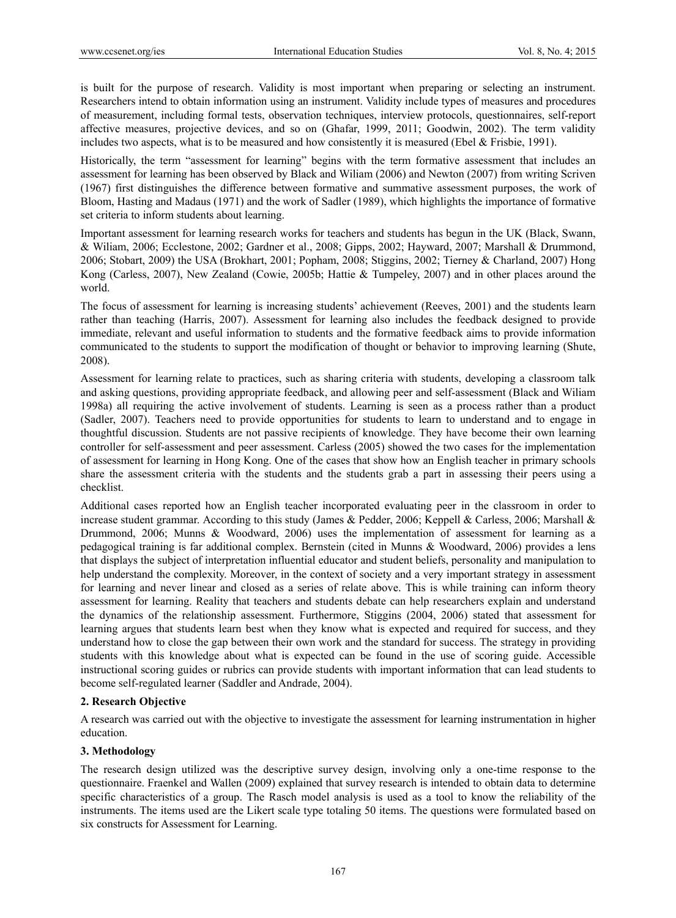is built for the purpose of research. Validity is most important when preparing or selecting an instrument. Researchers intend to obtain information using an instrument. Validity include types of measures and procedures of measurement, including formal tests, observation techniques, interview protocols, questionnaires, self-report affective measures, projective devices, and so on (Ghafar, 1999, 2011; Goodwin, 2002). The term validity includes two aspects, what is to be measured and how consistently it is measured (Ebel & Frisbie, 1991).

Historically, the term "assessment for learning" begins with the term formative assessment that includes an assessment for learning has been observed by Black and Wiliam (2006) and Newton (2007) from writing Scriven (1967) first distinguishes the difference between formative and summative assessment purposes, the work of Bloom, Hasting and Madaus (1971) and the work of Sadler (1989), which highlights the importance of formative set criteria to inform students about learning.

Important assessment for learning research works for teachers and students has begun in the UK (Black, Swann, & Wiliam, 2006; Ecclestone, 2002; Gardner et al., 2008; Gipps, 2002; Hayward, 2007; Marshall & Drummond, 2006; Stobart, 2009) the USA (Brokhart, 2001; Popham, 2008; Stiggins, 2002; Tierney & Charland, 2007) Hong Kong (Carless, 2007), New Zealand (Cowie, 2005b; Hattie & Tumpeley, 2007) and in other places around the world.

The focus of assessment for learning is increasing students' achievement (Reeves, 2001) and the students learn rather than teaching (Harris, 2007). Assessment for learning also includes the feedback designed to provide immediate, relevant and useful information to students and the formative feedback aims to provide information communicated to the students to support the modification of thought or behavior to improving learning (Shute, 2008).

Assessment for learning relate to practices, such as sharing criteria with students, developing a classroom talk and asking questions, providing appropriate feedback, and allowing peer and self-assessment (Black and Wiliam 1998a) all requiring the active involvement of students. Learning is seen as a process rather than a product (Sadler, 2007). Teachers need to provide opportunities for students to learn to understand and to engage in thoughtful discussion. Students are not passive recipients of knowledge. They have become their own learning controller for self-assessment and peer assessment. Carless (2005) showed the two cases for the implementation of assessment for learning in Hong Kong. One of the cases that show how an English teacher in primary schools share the assessment criteria with the students and the students grab a part in assessing their peers using a checklist.

Additional cases reported how an English teacher incorporated evaluating peer in the classroom in order to increase student grammar. According to this study (James & Pedder, 2006; Keppell & Carless, 2006; Marshall & Drummond, 2006; Munns & Woodward, 2006) uses the implementation of assessment for learning as a pedagogical training is far additional complex. Bernstein (cited in Munns & Woodward, 2006) provides a lens that displays the subject of interpretation influential educator and student beliefs, personality and manipulation to help understand the complexity. Moreover, in the context of society and a very important strategy in assessment for learning and never linear and closed as a series of relate above. This is while training can inform theory assessment for learning. Reality that teachers and students debate can help researchers explain and understand the dynamics of the relationship assessment. Furthermore, Stiggins (2004, 2006) stated that assessment for learning argues that students learn best when they know what is expected and required for success, and they understand how to close the gap between their own work and the standard for success. The strategy in providing students with this knowledge about what is expected can be found in the use of scoring guide. Accessible instructional scoring guides or rubrics can provide students with important information that can lead students to become self-regulated learner (Saddler and Andrade, 2004).

#### **2. Research Objective**

A research was carried out with the objective to investigate the assessment for learning instrumentation in higher education.

#### **3. Methodology**

The research design utilized was the descriptive survey design, involving only a one-time response to the questionnaire. Fraenkel and Wallen (2009) explained that survey research is intended to obtain data to determine specific characteristics of a group. The Rasch model analysis is used as a tool to know the reliability of the instruments. The items used are the Likert scale type totaling 50 items. The questions were formulated based on six constructs for Assessment for Learning.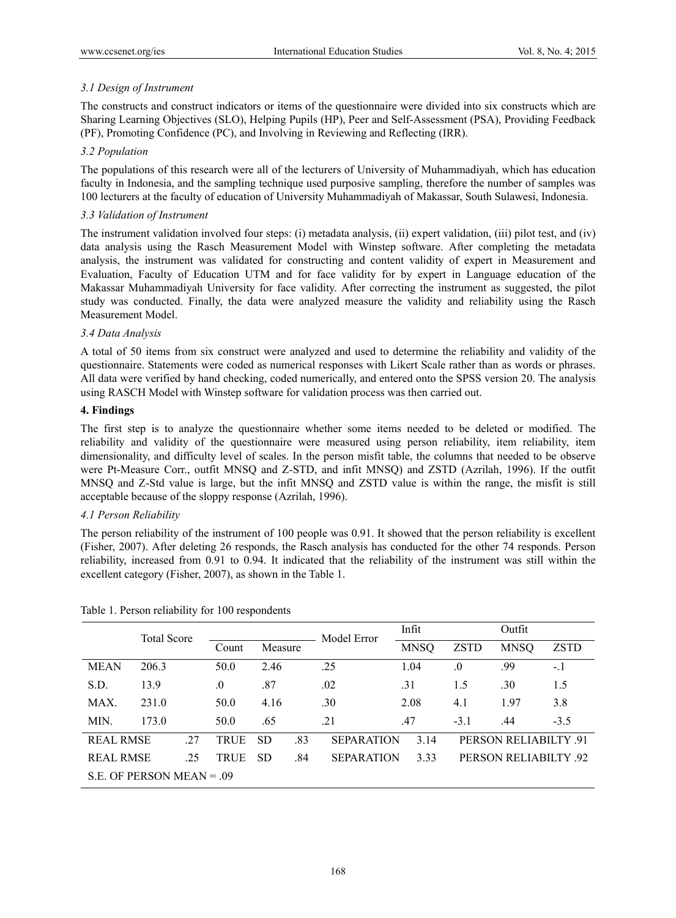# *3.1 Design of Instrument*

The constructs and construct indicators or items of the questionnaire were divided into six constructs which are Sharing Learning Objectives (SLO), Helping Pupils (HP), Peer and Self-Assessment (PSA), Providing Feedback (PF), Promoting Confidence (PC), and Involving in Reviewing and Reflecting (IRR).

## *3.2 Population*

The populations of this research were all of the lecturers of University of Muhammadiyah, which has education faculty in Indonesia, and the sampling technique used purposive sampling, therefore the number of samples was 100 lecturers at the faculty of education of University Muhammadiyah of Makassar, South Sulawesi, Indonesia.

## *3.3 Validation of Instrument*

The instrument validation involved four steps: (i) metadata analysis, (ii) expert validation, (iii) pilot test, and (iv) data analysis using the Rasch Measurement Model with Winstep software. After completing the metadata analysis, the instrument was validated for constructing and content validity of expert in Measurement and Evaluation, Faculty of Education UTM and for face validity for by expert in Language education of the Makassar Muhammadiyah University for face validity. After correcting the instrument as suggested, the pilot study was conducted. Finally, the data were analyzed measure the validity and reliability using the Rasch Measurement Model.

## *3.4 Data Analysis*

A total of 50 items from six construct were analyzed and used to determine the reliability and validity of the questionnaire. Statements were coded as numerical responses with Likert Scale rather than as words or phrases. All data were verified by hand checking, coded numerically, and entered onto the SPSS version 20. The analysis using RASCH Model with Winstep software for validation process was then carried out.

#### **4. Findings**

The first step is to analyze the questionnaire whether some items needed to be deleted or modified. The reliability and validity of the questionnaire were measured using person reliability, item reliability, item dimensionality, and difficulty level of scales. In the person misfit table, the columns that needed to be observe were Pt-Measure Corr., outfit MNSQ and Z-STD, and infit MNSQ) and ZSTD (Azrilah, 1996). If the outfit MNSQ and Z-Std value is large, but the infit MNSQ and ZSTD value is within the range, the misfit is still acceptable because of the sloppy response (Azrilah, 1996).

#### *4.1 Person Reliability*

The person reliability of the instrument of 100 people was 0.91. It showed that the person reliability is excellent (Fisher, 2007). After deleting 26 responds, the Rasch analysis has conducted for the other 74 responds. Person reliability, increased from 0.91 to 0.94. It indicated that the reliability of the instrument was still within the excellent category (Fisher, 2007), as shown in the Table 1.

|                             | <b>Total Score</b> |      |           |           |                   | Model Error | Infit                     |                              | Outfit                       |             |
|-----------------------------|--------------------|------|-----------|-----------|-------------------|-------------|---------------------------|------------------------------|------------------------------|-------------|
|                             |                    |      | Count     | Measure   |                   |             | <b>MNSQ</b>               | <b>ZSTD</b>                  | <b>MNSQ</b>                  | <b>ZSTD</b> |
| <b>MEAN</b>                 | 206.3              |      | 50.0      | 2.46      |                   | .25         | 1.04                      | $\Omega$                     | .99                          | $-.1$       |
| S.D.                        | 13.9               |      | $\Omega$  | .87       |                   | .02         | .31                       | 1.5                          | .30                          | 1.5         |
| MAX.                        | 231.0              |      | 50.0      | 4.16      |                   | .30         | 2.08                      | 4.1                          | 1.97                         | 3.8         |
| MIN.                        | 173.0              |      | 50.0      | .65       |                   | .21         | .47                       | $-3.1$                       | .44                          | $-3.5$      |
| <b>REAL RMSE</b>            |                    | .27  | TRUE      | <b>SD</b> | .83               |             | 3.14<br><b>SEPARATION</b> |                              | <b>PERSON RELIABILTY .91</b> |             |
| <b>REAL RMSE</b><br>.25     |                    | TRUE | <b>SD</b> | .84       | <b>SEPARATION</b> | 3.33        |                           | <b>PERSON RELIABILTY .92</b> |                              |             |
| $S.E.$ OF PERSON MEAN = .09 |                    |      |           |           |                   |             |                           |                              |                              |             |

#### Table 1. Person reliability for 100 respondents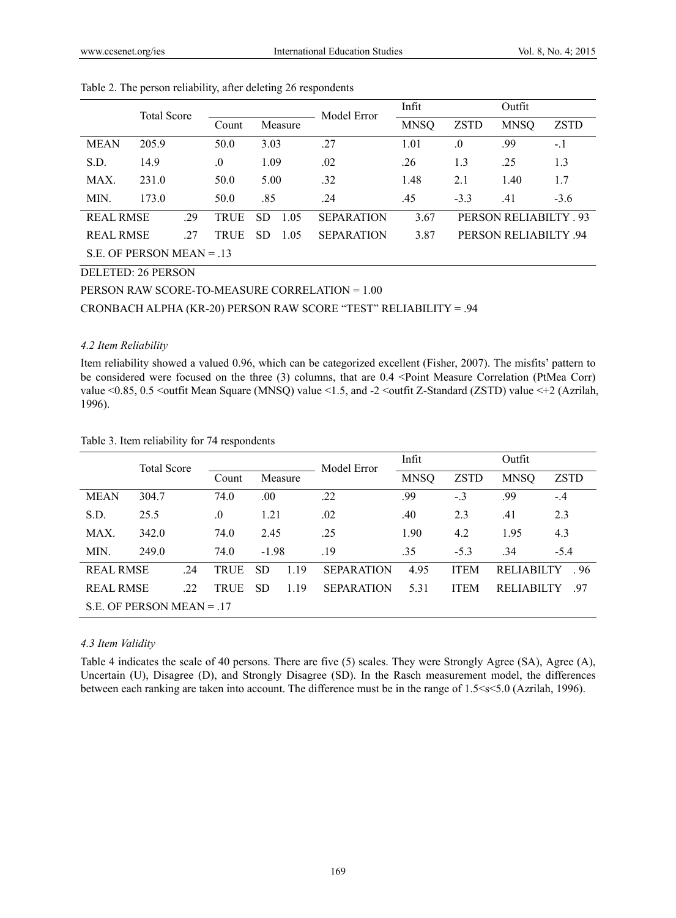|                             | <b>Total Score</b> |     |             |                   | Model Error       | Infit       |                        | Outfit                       |             |
|-----------------------------|--------------------|-----|-------------|-------------------|-------------------|-------------|------------------------|------------------------------|-------------|
|                             |                    |     | Count       | Measure           |                   | <b>MNSQ</b> | <b>ZSTD</b>            | <b>MNSQ</b>                  | <b>ZSTD</b> |
| <b>MEAN</b>                 | 205.9              |     | 50.0        | 3.03              | .27               | 1.01        | $\Omega$               | .99                          | $-.1$       |
| S.D.                        | 14.9               |     | $\Omega$    | 1.09              | .02               | .26         | 1.3                    | .25                          | 1.3         |
| MAX.                        | 231.0              |     | 50.0        | 5.00              | .32               | 1.48        | 2.1                    | 1.40                         | 1.7         |
| MIN.                        | 173.0              |     | 50.0        | .85               | .24               | .45         | $-3.3$                 | .41                          | $-3.6$      |
| <b>REAL RMSE</b>            |                    | .29 | TRUE        | <b>SD</b><br>1.05 | <b>SEPARATION</b> | 3.67        | PERSON RELIABILTY . 93 |                              |             |
| <b>REAL RMSE</b><br>.27     |                    |     | <b>TRUE</b> | SD<br>1.05        | <b>SEPARATION</b> | 3.87        |                        | <b>PERSON RELIABILTY .94</b> |             |
| $S.E.$ OF PERSON MEAN = .13 |                    |     |             |                   |                   |             |                        |                              |             |

Table 2. The person reliability, after deleting 26 respondents

DELETED: 26 PERSON

#### PERSON RAW SCORE-TO-MEASURE CORRELATION = 1.00

CRONBACH ALPHA (KR-20) PERSON RAW SCORE "TEST" RELIABILITY = .94

#### *4.2 Item Reliability*

Item reliability showed a valued 0.96, which can be categorized excellent (Fisher, 2007). The misfits' pattern to be considered were focused on the three (3) columns, that are 0.4 <Point Measure Correlation (PtMea Corr) value <0.85, 0.5 < outfit Mean Square (MNSQ) value <1.5, and -2 < outfit Z-Standard (ZSTD) value <+2 (Azrilah, 1996).

| Table 3. Item reliability for 74 respondents |  |
|----------------------------------------------|--|
|----------------------------------------------|--|

| <b>Total Score</b>          |       |      |                 |           |                   | Model Error       | Infit       |                   | Outfit            |             |
|-----------------------------|-------|------|-----------------|-----------|-------------------|-------------------|-------------|-------------------|-------------------|-------------|
|                             |       |      | Count           | Measure   |                   |                   | <b>MNSQ</b> | <b>ZSTD</b>       | <b>MNSQ</b>       | <b>ZSTD</b> |
| <b>MEAN</b>                 | 304.7 |      | 74.0            | .00       |                   | .22               | .99         | $-.3$             | .99               | $-.4$       |
| S.D.                        | 25.5  |      | $\Omega$        | 1.21      |                   | .02               | .40         | 2.3               | .41               | 2.3         |
| MAX.                        | 342.0 |      | 74.0            | 2.45      |                   | .25               | 1.90        | 4.2               | 1.95              | 4.3         |
| MIN.                        | 249.0 |      | $-1.98$<br>74.0 |           |                   | .19               | .35         | $-5.3$            | .34               | $-5.4$      |
| <b>REAL RMSE</b>            |       | .24  | TRUE            | <b>SD</b> | 1.19              | <b>SEPARATION</b> | 4.95        | <b>ITEM</b>       | <b>RELIABILTY</b> | 96          |
| <b>REAL RMSE</b><br>.22     |       | TRUE | <b>SD</b>       | 1.19      | <b>SEPARATION</b> | 5.31              | <b>ITEM</b> | <b>RELIABILTY</b> | - 97              |             |
| $S.E.$ OF PERSON MEAN = .17 |       |      |                 |           |                   |                   |             |                   |                   |             |

#### *4.3 Item Validity*

Table 4 indicates the scale of 40 persons. There are five (5) scales. They were Strongly Agree (SA), Agree (A), Uncertain (U), Disagree (D), and Strongly Disagree (SD). In the Rasch measurement model, the differences between each ranking are taken into account. The difference must be in the range of 1.5<s<5.0 (Azrilah, 1996).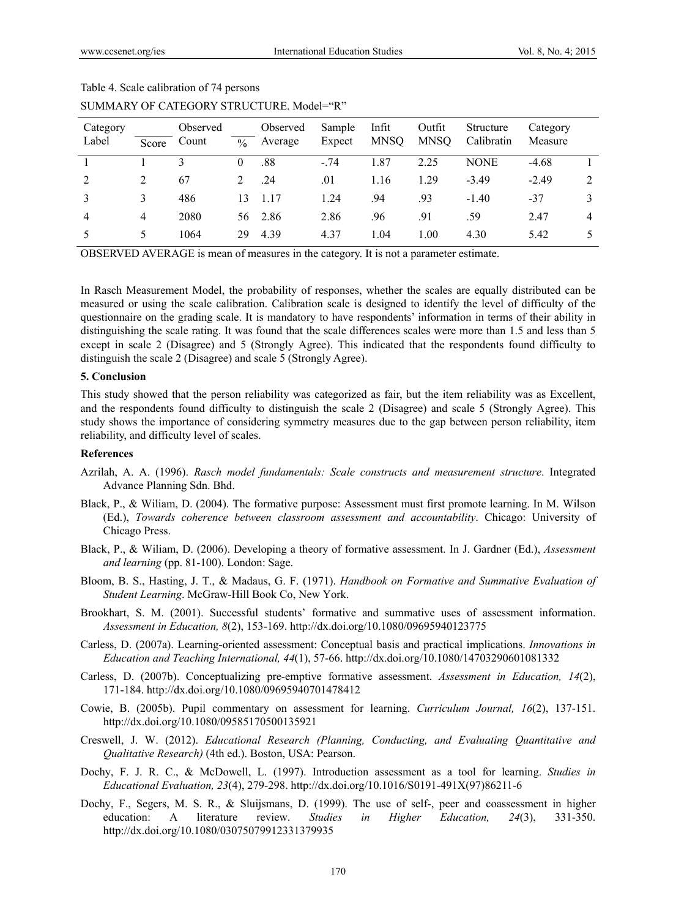| Category<br>Label | Score | Observed<br>Count | $\frac{0}{0}$ | Observed<br>Average | Sample<br>Expect | Infit<br><b>MNSQ</b> | Outfit<br><b>MNSQ</b> | Structure<br>Calibratin | Category<br>Measure |   |
|-------------------|-------|-------------------|---------------|---------------------|------------------|----------------------|-----------------------|-------------------------|---------------------|---|
|                   |       |                   | $\theta$      | .88                 | $-74$            | 1.87                 | 2.25                  | <b>NONE</b>             | $-4.68$             |   |
| 2                 |       | 67                |               | .24                 | .01              | 1.16                 | 1.29                  | $-3.49$                 | $-2.49$             | 2 |
|                   |       | 486               | 13            | 1.17                | 1.24             | .94                  | .93                   | $-1.40$                 | $-37$               |   |
| 4                 | 4     | 2080              | 56.           | 2.86                | 2.86             | .96                  | .91                   | .59                     | 2.47                | 4 |
|                   | 5     | 1064              | 29            | 4.39                | 4.37             | 1.04                 | 1.00                  | 4.30                    | 5.42                |   |

# Table 4. Scale calibration of 74 persons SUMMARY OF CATEGORY STRUCTURE. Model="R"

OBSERVED AVERAGE is mean of measures in the category. It is not a parameter estimate.

In Rasch Measurement Model, the probability of responses, whether the scales are equally distributed can be measured or using the scale calibration. Calibration scale is designed to identify the level of difficulty of the questionnaire on the grading scale. It is mandatory to have respondents' information in terms of their ability in distinguishing the scale rating. It was found that the scale differences scales were more than 1.5 and less than 5 except in scale 2 (Disagree) and 5 (Strongly Agree). This indicated that the respondents found difficulty to distinguish the scale 2 (Disagree) and scale 5 (Strongly Agree).

#### **5. Conclusion**

This study showed that the person reliability was categorized as fair, but the item reliability was as Excellent, and the respondents found difficulty to distinguish the scale 2 (Disagree) and scale 5 (Strongly Agree). This study shows the importance of considering symmetry measures due to the gap between person reliability, item reliability, and difficulty level of scales.

#### **References**

- Azrilah, A. A. (1996). *Rasch model fundamentals: Scale constructs and measurement structure*. Integrated Advance Planning Sdn. Bhd.
- Black, P., & Wiliam, D. (2004). The formative purpose: Assessment must first promote learning. In M. Wilson (Ed.), *Towards coherence between classroom assessment and accountability*. Chicago: University of Chicago Press.
- Black, P., & Wiliam, D. (2006). Developing a theory of formative assessment. In J. Gardner (Ed.), *Assessment and learning* (pp. 81-100). London: Sage.
- Bloom, B. S., Hasting, J. T., & Madaus, G. F. (1971). *Handbook on Formative and Summative Evaluation of Student Learning*. McGraw-Hill Book Co, New York.
- Brookhart, S. M. (2001). Successful students' formative and summative uses of assessment information. *Assessment in Education, 8*(2), 153-169. http://dx.doi.org/10.1080/09695940123775
- Carless, D. (2007a). Learning-oriented assessment: Conceptual basis and practical implications. *Innovations in Education and Teaching International, 44*(1), 57-66. http://dx.doi.org/10.1080/14703290601081332
- Carless, D. (2007b). Conceptualizing pre-emptive formative assessment. *Assessment in Education, 14*(2), 171-184. http://dx.doi.org/10.1080/09695940701478412
- Cowie, B. (2005b). Pupil commentary on assessment for learning. *Curriculum Journal, 16*(2), 137-151. http://dx.doi.org/10.1080/09585170500135921
- Creswell, J. W. (2012). *Educational Research (Planning, Conducting, and Evaluating Quantitative and Qualitative Research)* (4th ed.). Boston, USA: Pearson.
- Dochy, F. J. R. C., & McDowell, L. (1997). Introduction assessment as a tool for learning. *Studies in Educational Evaluation, 23*(4), 279-298. http://dx.doi.org/10.1016/S0191-491X(97)86211-6
- Dochy, F., Segers, M. S. R., & Sluijsmans, D. (1999). The use of self-, peer and coassessment in higher education: A literature review. *Studies in Higher Education, 24*(3), 331-350. http://dx.doi.org/10.1080/03075079912331379935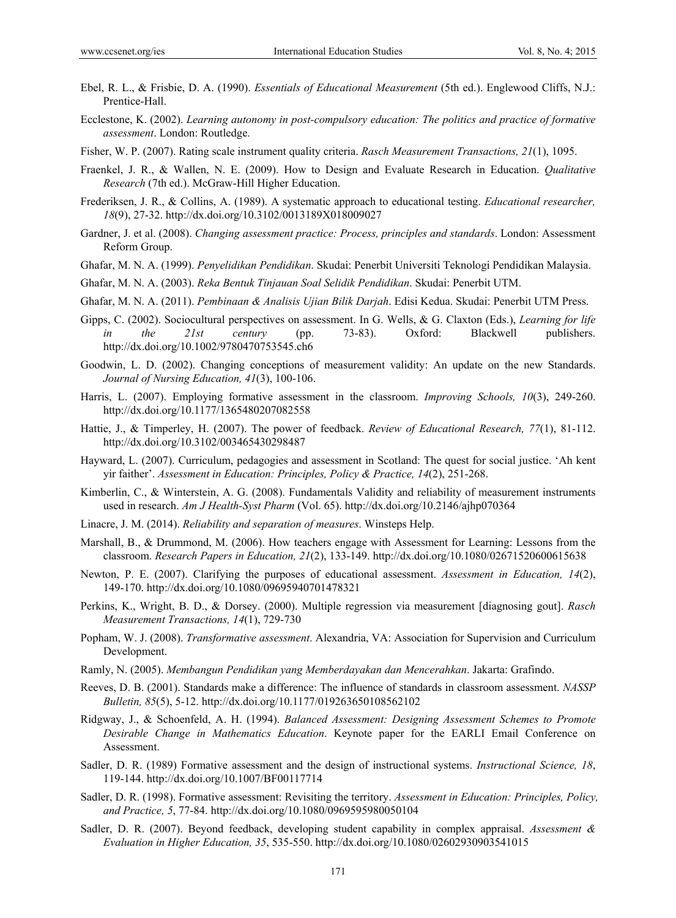- Ebel, R. L., & Frisbie, D. A. (1990). *Essentials of Educational Measurement* (5th ed.). Englewood Cliffs, N.J.: Prentice-Hall.
- Ecclestone, K. (2002). *Learning autonomy in post-compulsory education: The politics and practice of formative assessment*. London: Routledge.
- Fisher, W. P. (2007). Rating scale instrument quality criteria. *Rasch Measurement Transactions, 21*(1), 1095.
- Fraenkel, J. R., & Wallen, N. E. (2009). How to Design and Evaluate Research in Education. *Qualitative Research* (7th ed.). McGraw-Hill Higher Education.
- Frederiksen, J. R., & Collins, A. (1989). A systematic approach to educational testing. *Educational researcher, 18*(9), 27-32. http://dx.doi.org/10.3102/0013189X018009027
- Gardner, J. et al. (2008). *Changing assessment practice: Process, principles and standards*. London: Assessment Reform Group.
- Ghafar, M. N. A. (1999). *Penyelidikan Pendidikan*. Skudai: Penerbit Universiti Teknologi Pendidikan Malaysia.
- Ghafar, M. N. A. (2003). *Reka Bentuk Tinjauan Soal Selidik Pendidikan*. Skudai: Penerbit UTM.
- Ghafar, M. N. A. (2011). *Pembinaan & Analisis Ujian Bilik Darjah*. Edisi Kedua. Skudai: Penerbit UTM Press.
- Gipps, C. (2002). Sociocultural perspectives on assessment. In G. Wells, & G. Claxton (Eds.), *Learning for life in the 21st century* (pp. 73-83). Oxford: Blackwell publishers. http://dx.doi.org/10.1002/9780470753545.ch6
- Goodwin, L. D. (2002). Changing conceptions of measurement validity: An update on the new Standards. *Journal of Nursing Education, 41*(3), 100-106.
- Harris, L. (2007). Employing formative assessment in the classroom. *Improving Schools, 10*(3), 249-260. http://dx.doi.org/10.1177/1365480207082558
- Hattie, J., & Timperley, H. (2007). The power of feedback. *Review of Educational Research, 77*(1), 81-112. http://dx.doi.org/10.3102/003465430298487
- Hayward, L. (2007). Curriculum, pedagogies and assessment in Scotland: The quest for social justice. 'Ah kent yir faither'. *Assessment in Education: Principles, Policy & Practice, 14*(2), 251-268.
- Kimberlin, C., & Winterstein, A. G. (2008). Fundamentals Validity and reliability of measurement instruments used in research. *Am J Health-Syst Pharm* (Vol. 65). http://dx.doi.org/10.2146/ajhp070364
- Linacre, J. M. (2014). *Reliability and separation of measures*. Winsteps Help.
- Marshall, B., & Drummond, M. (2006). How teachers engage with Assessment for Learning: Lessons from the classroom. *Research Papers in Education, 21*(2), 133-149. http://dx.doi.org/10.1080/02671520600615638
- Newton, P. E. (2007). Clarifying the purposes of educational assessment. *Assessment in Education, 14*(2), 149-170. http://dx.doi.org/10.1080/09695940701478321
- Perkins, K., Wright, B. D., & Dorsey. (2000). Multiple regression via measurement [diagnosing gout]. *Rasch Measurement Transactions, 14*(1), 729-730
- Popham, W. J. (2008). *Transformative assessment*. Alexandria, VA: Association for Supervision and Curriculum Development.
- Ramly, N. (2005). *Membangun Pendidikan yang Memberdayakan dan Mencerahkan*. Jakarta: Grafindo.
- Reeves, D. B. (2001). Standards make a difference: The influence of standards in classroom assessment. *NASSP Bulletin, 85*(5), 5-12. http://dx.doi.org/10.1177/019263650108562102
- Ridgway, J., & Schoenfeld, A. H. (1994). *Balanced Assessment: Designing Assessment Schemes to Promote Desirable Change in Mathematics Education*. Keynote paper for the EARLI Email Conference on Assessment.
- Sadler, D. R. (1989) Formative assessment and the design of instructional systems. *Instructional Science, 18*, 119-144. http://dx.doi.org/10.1007/BF00117714
- Sadler, D. R. (1998). Formative assessment: Revisiting the territory. *Assessment in Education: Principles, Policy, and Practice, 5*, 77-84. http://dx.doi.org/10.1080/0969595980050104
- Sadler, D. R. (2007). Beyond feedback, developing student capability in complex appraisal. *Assessment & Evaluation in Higher Education, 35*, 535-550. http://dx.doi.org/10.1080/02602930903541015